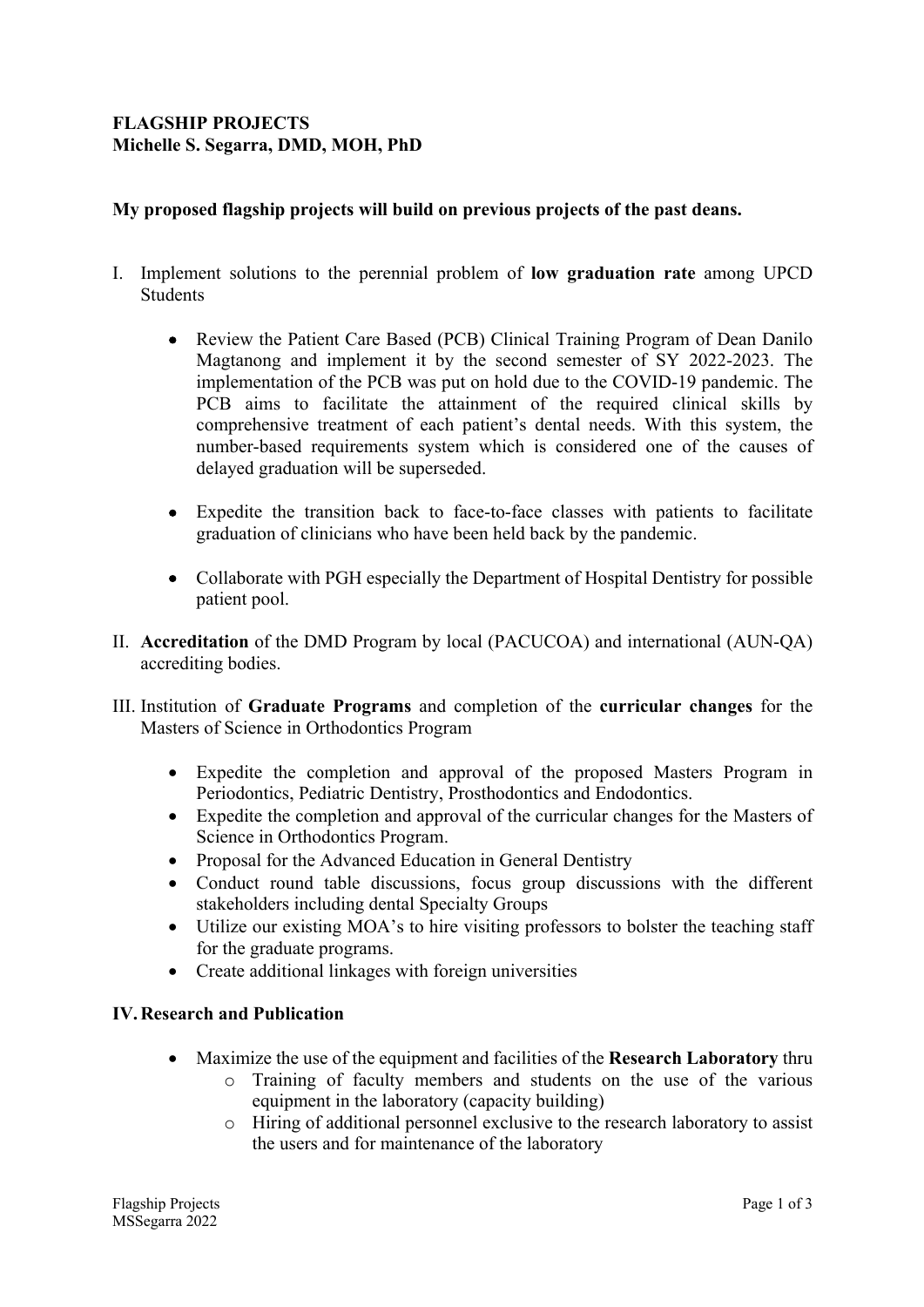# **FLAGSHIP PROJECTS Michelle S. Segarra, DMD, MOH, PhD**

# **My proposed flagship projects will build on previous projects of the past deans.**

- I. Implement solutions to the perennial problem of **low graduation rate** among UPCD Students
	- Review the Patient Care Based (PCB) Clinical Training Program of Dean Danilo Magtanong and implement it by the second semester of SY 2022-2023. The implementation of the PCB was put on hold due to the COVID-19 pandemic. The PCB aims to facilitate the attainment of the required clinical skills by comprehensive treatment of each patient's dental needs. With this system, the number-based requirements system which is considered one of the causes of delayed graduation will be superseded.
	- Expedite the transition back to face-to-face classes with patients to facilitate graduation of clinicians who have been held back by the pandemic.
	- Collaborate with PGH especially the Department of Hospital Dentistry for possible patient pool.
- II. **Accreditation** of the DMD Program by local (PACUCOA) and international (AUN-QA) accrediting bodies.
- III. Institution of **Graduate Programs** and completion of the **curricular changes** for the Masters of Science in Orthodontics Program
	- Expedite the completion and approval of the proposed Masters Program in Periodontics, Pediatric Dentistry, Prosthodontics and Endodontics.
	- Expedite the completion and approval of the curricular changes for the Masters of Science in Orthodontics Program.
	- Proposal for the Advanced Education in General Dentistry
	- Conduct round table discussions, focus group discussions with the different stakeholders including dental Specialty Groups
	- Utilize our existing MOA's to hire visiting professors to bolster the teaching staff for the graduate programs.
	- Create additional linkages with foreign universities

#### **IV.Research and Publication**

- Maximize the use of the equipment and facilities of the **Research Laboratory** thru
	- o Training of faculty members and students on the use of the various equipment in the laboratory (capacity building)
	- o Hiring of additional personnel exclusive to the research laboratory to assist the users and for maintenance of the laboratory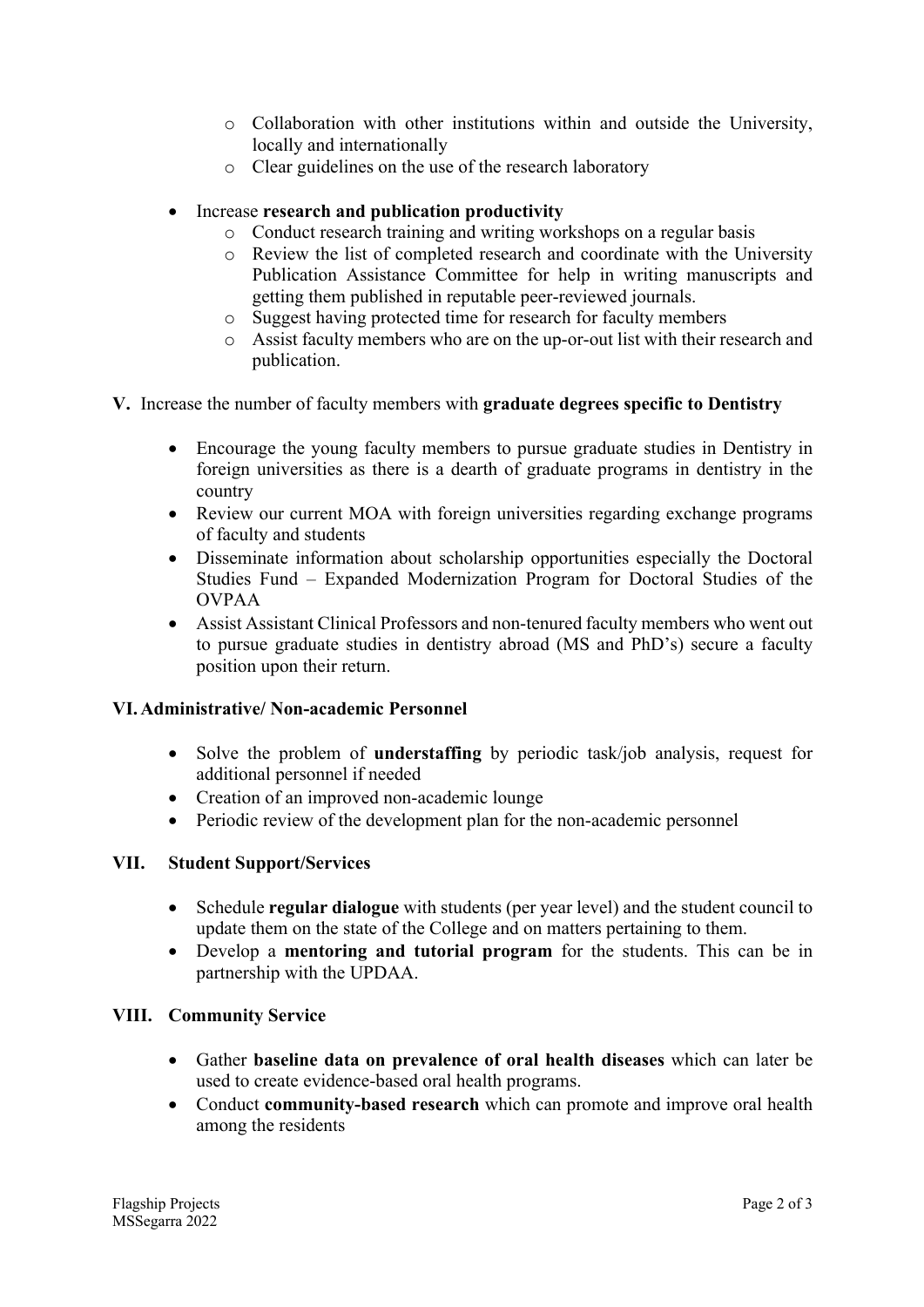- o Collaboration with other institutions within and outside the University, locally and internationally
- o Clear guidelines on the use of the research laboratory
- Increase **research and publication productivity**
	- o Conduct research training and writing workshops on a regular basis
	- o Review the list of completed research and coordinate with the University Publication Assistance Committee for help in writing manuscripts and getting them published in reputable peer-reviewed journals.
	- o Suggest having protected time for research for faculty members
	- o Assist faculty members who are on the up-or-out list with their research and publication.
- **V.** Increase the number of faculty members with **graduate degrees specific to Dentistry**
	- Encourage the young faculty members to pursue graduate studies in Dentistry in foreign universities as there is a dearth of graduate programs in dentistry in the country
	- Review our current MOA with foreign universities regarding exchange programs of faculty and students
	- Disseminate information about scholarship opportunities especially the Doctoral Studies Fund – Expanded Modernization Program for Doctoral Studies of the OVPAA
	- Assist Assistant Clinical Professors and non-tenured faculty members who went out to pursue graduate studies in dentistry abroad (MS and PhD's) secure a faculty position upon their return.

# **VI.Administrative/ Non-academic Personnel**

- Solve the problem of **understaffing** by periodic task/job analysis, request for additional personnel if needed
- Creation of an improved non-academic lounge
- Periodic review of the development plan for the non-academic personnel

#### **VII. Student Support/Services**

- Schedule **regular dialogue** with students (per year level) and the student council to update them on the state of the College and on matters pertaining to them.
- Develop a **mentoring and tutorial program** for the students. This can be in partnership with the UPDAA.

#### **VIII. Community Service**

- Gather **baseline data on prevalence of oral health diseases** which can later be used to create evidence-based oral health programs.
- Conduct **community-based research** which can promote and improve oral health among the residents